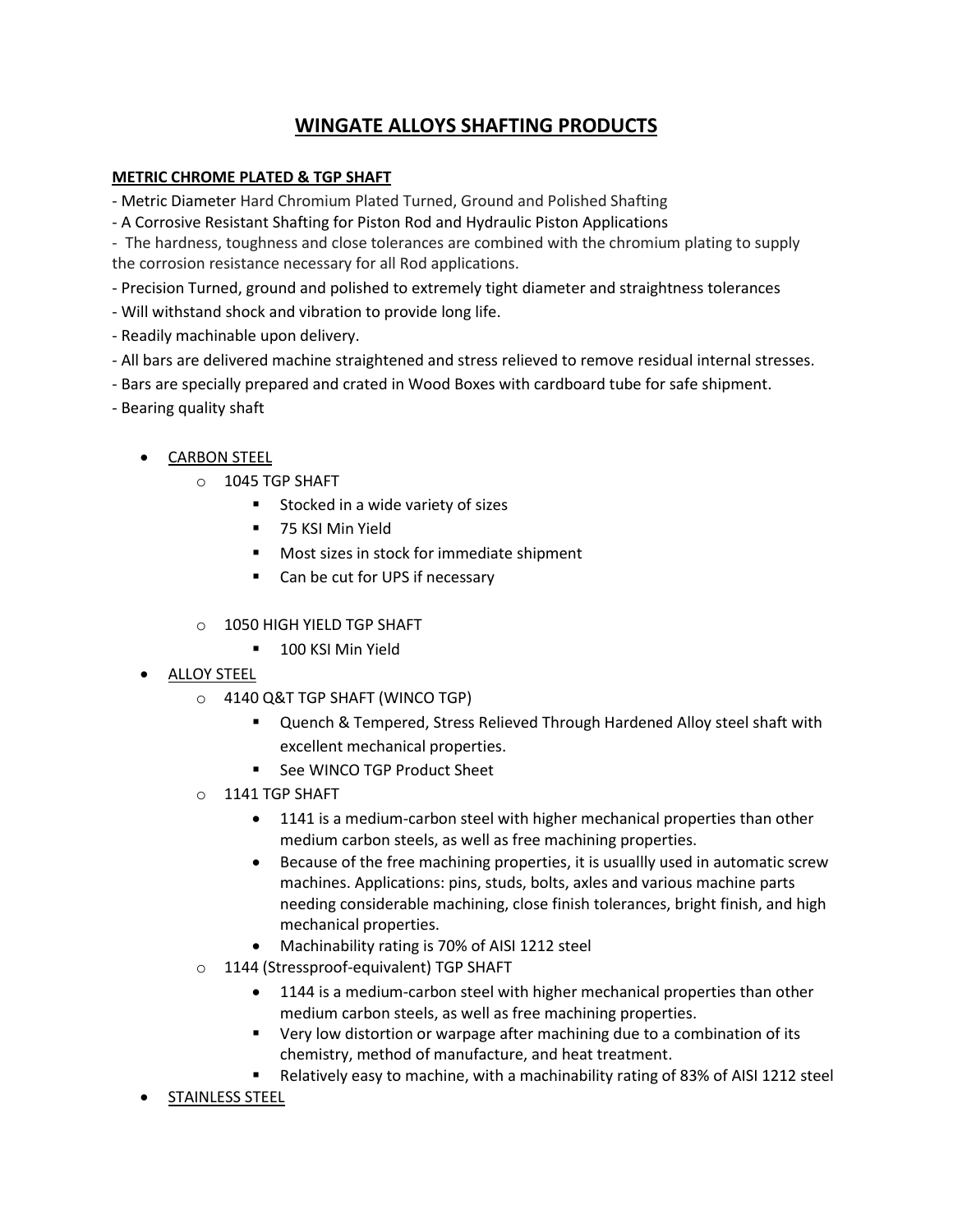## **WINGATE ALLOYS SHAFTING PRODUCTS**

## **METRIC CHROME PLATED & TGP SHAFT**

- Metric Diameter Hard Chromium Plated Turned, Ground and Polished Shafting

- A Corrosive Resistant Shafting for Piston Rod and Hydraulic Piston Applications

- The hardness, toughness and close tolerances are combined with the chromium plating to supply the corrosion resistance necessary for all Rod applications.

- Precision Turned, ground and polished to extremely tight diameter and straightness tolerances
- Will withstand shock and vibration to provide long life.
- Readily machinable upon delivery.
- All bars are delivered machine straightened and stress relieved to remove residual internal stresses.
- Bars are specially prepared and crated in Wood Boxes with cardboard tube for safe shipment.
- Bearing quality shaft

## CARBON STEEL

- o 1045 TGP SHAFT
	- **Stocked in a wide variety of sizes**
	- **75 KSI Min Yield**
	- **Most sizes in stock for immediate shipment**
	- Can be cut for UPS if necessary
- o 1050 HIGH YIELD TGP SHAFT
	- **100 KSI Min Yield**
- ALLOY STEEL
	- o 4140 Q&T TGP SHAFT (WINCO TGP)
		- Quench & Tempered, Stress Relieved Through Hardened Alloy steel shaft with excellent mechanical properties.
		- See WINCO TGP Product Sheet
	- o 1141 TGP SHAFT
		- 1141 is a medium-carbon steel with higher mechanical properties than other medium carbon steels, as well as free machining properties.
		- Because of the free machining properties, it is usuallly used in automatic screw machines. Applications: pins, studs, bolts, axles and various machine parts needing considerable machining, close finish tolerances, bright finish, and high mechanical properties.
		- Machinability rating is 70% of AISI 1212 steel
	- o 1144 (Stressproof-equivalent) TGP SHAFT
		- 1144 is a medium-carbon steel with higher mechanical properties than other medium carbon steels, as well as free machining properties.
		- **•** Very low distortion or warpage after machining due to a combination of its chemistry, method of manufacture, and heat treatment.
		- Relatively easy to machine, with a machinability rating of 83% of AISI 1212 steel
- STAINLESS STEEL